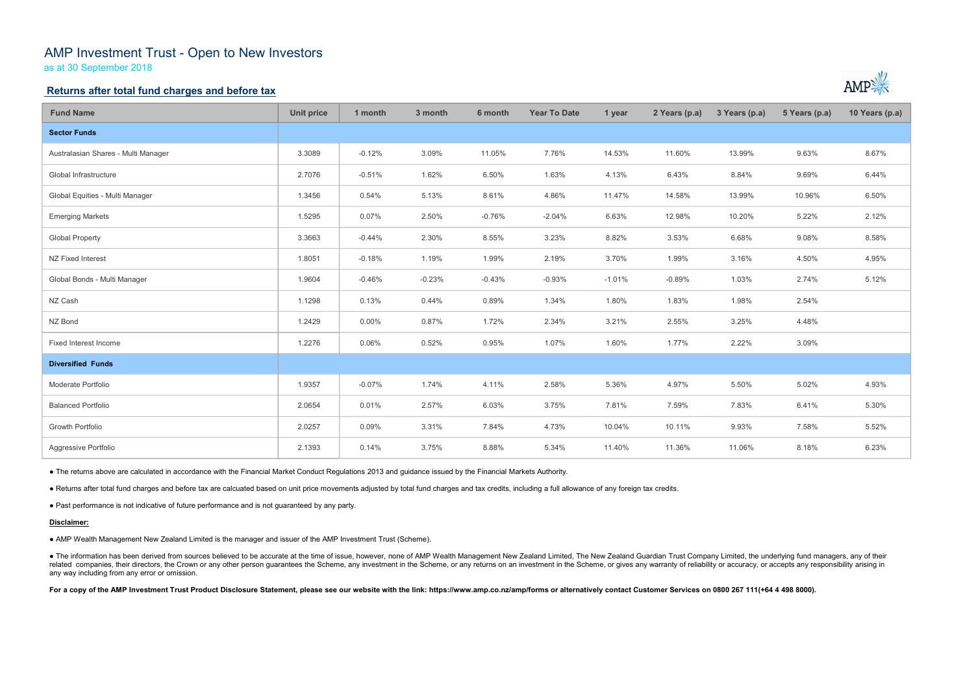# AMP Investment Trust - Open to New Investors

as at 30 September 2018

## Returns after total fund charges and before tax

| <b>Fund Name</b>                                                                                                                                                                                                                                                                                                                                                                                                                                                                                                 | <b>Unit price</b> | 1 month  | 3 month  | 6 month  | <b>Year To Date</b> | 1 year   | 2 Years (p.a) | 3 Years (p.a) | 5 Years (p.a) | 10 Years (p.a) |
|------------------------------------------------------------------------------------------------------------------------------------------------------------------------------------------------------------------------------------------------------------------------------------------------------------------------------------------------------------------------------------------------------------------------------------------------------------------------------------------------------------------|-------------------|----------|----------|----------|---------------------|----------|---------------|---------------|---------------|----------------|
| <b>Sector Funds</b>                                                                                                                                                                                                                                                                                                                                                                                                                                                                                              |                   |          |          |          |                     |          |               |               |               |                |
| Australasian Shares - Multi Manager                                                                                                                                                                                                                                                                                                                                                                                                                                                                              | 3.3089            | $-0.12%$ | 3.09%    | 11.05%   | 7.76%               | 14.53%   | 11.60%        | 13.99%        | 9.63%         | 8.67%          |
| Global Infrastructure                                                                                                                                                                                                                                                                                                                                                                                                                                                                                            | 2.7076            | $-0.51%$ | 1.62%    | 6.50%    | 1.63%               | 4.13%    | 6.43%         | 8.84%         | 9.69%         | 6.44%          |
| Global Equities - Multi Manager                                                                                                                                                                                                                                                                                                                                                                                                                                                                                  | 1.3456            | 0.54%    | 5.13%    | 8.61%    | 4.86%               | 11.47%   | 14.58%        | 13.99%        | 10.96%        | 6.50%          |
| <b>Emerging Markets</b>                                                                                                                                                                                                                                                                                                                                                                                                                                                                                          | 1.5295            | 0.07%    | 2.50%    | $-0.76%$ | $-2.04%$            | 6.63%    | 12.98%        | 10.20%        | 5.22%         | 2.12%          |
| <b>Global Property</b>                                                                                                                                                                                                                                                                                                                                                                                                                                                                                           | 3.3663            | $-0.44%$ | 2.30%    | 8.55%    | 3.23%               | 8.82%    | 3.53%         | 6.68%         | 9.08%         | 8.58%          |
| NZ Fixed Interest                                                                                                                                                                                                                                                                                                                                                                                                                                                                                                | 1.8051            | $-0.18%$ | 1.19%    | 1.99%    | 2.19%               | 3.70%    | 1.99%         | 3.16%         | 4.50%         | 4.95%          |
| Global Bonds - Multi Manager                                                                                                                                                                                                                                                                                                                                                                                                                                                                                     | 1.9604            | $-0.46%$ | $-0.23%$ | $-0.43%$ | $-0.93%$            | $-1.01%$ | $-0.89%$      | 1.03%         | 2.74%         | 5.12%          |
| NZ Cash                                                                                                                                                                                                                                                                                                                                                                                                                                                                                                          | 1.1298            | 0.13%    | 0.44%    | 0.89%    | 1.34%               | 1.80%    | 1.83%         | 1.98%         | 2.54%         |                |
| NZ Bond                                                                                                                                                                                                                                                                                                                                                                                                                                                                                                          | 1.2429            | 0.00%    | 0.87%    | 1.72%    | 2.34%               | 3.21%    | 2.55%         | 3.25%         | 4.48%         |                |
| Fixed Interest Income                                                                                                                                                                                                                                                                                                                                                                                                                                                                                            | 1.2276            | 0.06%    | 0.52%    | 0.95%    | 1.07%               | 1.60%    | 1.77%         | 2.22%         | 3.09%         |                |
| <b>Diversified Funds</b>                                                                                                                                                                                                                                                                                                                                                                                                                                                                                         |                   |          |          |          |                     |          |               |               |               |                |
| Moderate Portfolio                                                                                                                                                                                                                                                                                                                                                                                                                                                                                               | 1.9357            | $-0.07%$ | 1.74%    | 4.11%    | 2.58%               | 5.36%    | 4.97%         | 5.50%         | 5.02%         | 4.93%          |
| <b>Balanced Portfolio</b>                                                                                                                                                                                                                                                                                                                                                                                                                                                                                        | 2.0654            | 0.01%    | 2.57%    | 6.03%    | 3.75%               | 7.81%    | 7.59%         | 7.83%         | 6.41%         | 5.30%          |
| <b>Growth Portfolio</b>                                                                                                                                                                                                                                                                                                                                                                                                                                                                                          | 2.0257            | 0.09%    | 3.31%    | 7.84%    | 4.73%               | 10.04%   | 10.11%        | 9.93%         | 7.58%         | 5.52%          |
| Aggressive Portfolio                                                                                                                                                                                                                                                                                                                                                                                                                                                                                             | 2.1393            | 0.14%    | 3.75%    | 8.88%    | 5.34%               | 11.40%   | 11.36%        | 11.06%        | 8.18%         | 6.23%          |
| • The returns above are calculated in accordance with the Financial Market Conduct Regulations 2013 and guidance issued by the Financial Markets Authority.                                                                                                                                                                                                                                                                                                                                                      |                   |          |          |          |                     |          |               |               |               |                |
| . Returns after total fund charges and before tax are calcuated based on unit price movements adjusted by total fund charges and tax credits, including a full allowance of any foreign tax credits.                                                                                                                                                                                                                                                                                                             |                   |          |          |          |                     |          |               |               |               |                |
| . Past performance is not indicative of future performance and is not guaranteed by any party.                                                                                                                                                                                                                                                                                                                                                                                                                   |                   |          |          |          |                     |          |               |               |               |                |
| Disclaimer:                                                                                                                                                                                                                                                                                                                                                                                                                                                                                                      |                   |          |          |          |                     |          |               |               |               |                |
| • AMP Wealth Management New Zealand Limited is the manager and issuer of the AMP Investment Trust (Scheme).                                                                                                                                                                                                                                                                                                                                                                                                      |                   |          |          |          |                     |          |               |               |               |                |
| • The information has been derived from sources believed to be accurate at the time of issue, however, none of AMP Wealth Management New Zealand Limited, The New Zealand Guardian Trust Company Limited, the underlying fund<br>related companies, their directors, the Crown or any other person guarantees the Scheme, any investment in the Scheme, or any returns on an investment in the Scheme, or gives any warranty of reliability or accuracy, or acc<br>any way including from any error or omission. |                   |          |          |          |                     |          |               |               |               |                |
| For a copy of the AMP Investment Trust Product Disclosure Statement, please see our website with the link: https://www.amp.co.nz/amp/forms or alternatively contact Customer Services on 0800 267 111(+64 4 498 8000).                                                                                                                                                                                                                                                                                           |                   |          |          |          |                     |          |               |               |               |                |
|                                                                                                                                                                                                                                                                                                                                                                                                                                                                                                                  |                   |          |          |          |                     |          |               |               |               |                |



#### Disclaimer: